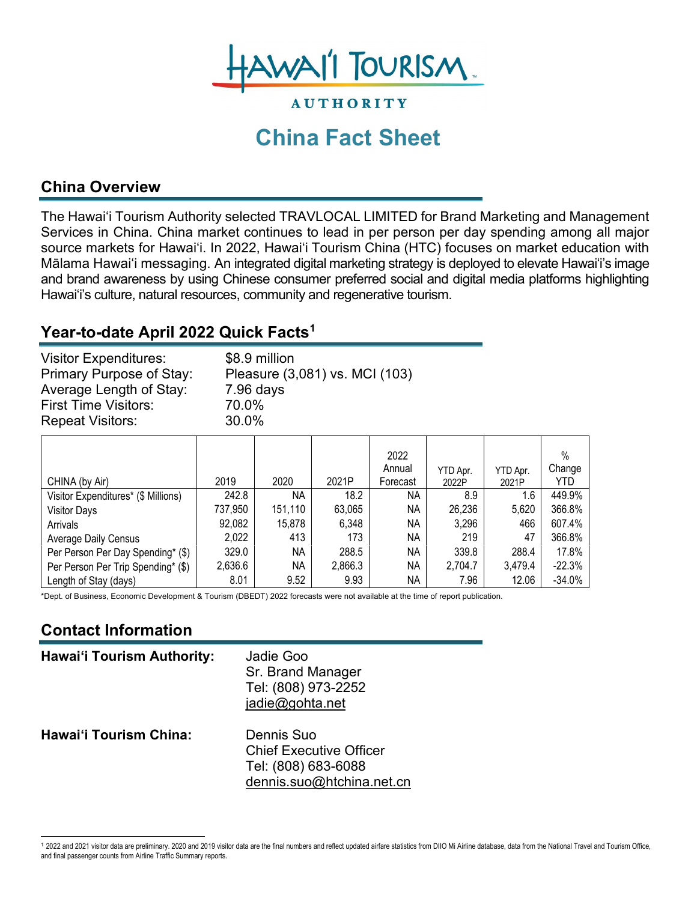

# **China Fact Sheet**

**AUTHORITY** 

### **China Overview**

The Hawai'i Tourism Authority selected TRAVLOCAL LIMITED for Brand Marketing and Management Services in China. China market continues to lead in per person per day spending among all major source markets for Hawai'i. In 2022, Hawai'i Tourism China (HTC) focuses on market education with Mālama Hawai'i messaging. An integrated digital marketing strategy is deployed to elevate Hawai'i's image and brand awareness by using Chinese consumer preferred social and digital media platforms highlighting Hawai'i's culture, natural resources, community and regenerative tourism.

# **Year-to-date April 2022 Quick Facts[1](#page-0-0)**

| <b>Visitor Expenditures:</b> | \$8.9 million                  |
|------------------------------|--------------------------------|
| Primary Purpose of Stay:     | Pleasure (3,081) vs. MCI (103) |
| Average Length of Stay:      | 7.96 days                      |
| <b>First Time Visitors:</b>  | 70.0%                          |
| <b>Repeat Visitors:</b>      | 30.0%                          |

|                                     |         |           |         | 2022<br>Annual | YTD Apr. | YTD Apr. | $\%$<br>Change |
|-------------------------------------|---------|-----------|---------|----------------|----------|----------|----------------|
| CHINA (by Air)                      | 2019    | 2020      | 2021P   | Forecast       | 2022P    | 2021P    | YTD            |
| Visitor Expenditures* (\$ Millions) | 242.8   | <b>NA</b> | 18.2    | NA             | 8.9      | 1.6      | 449.9%         |
| <b>Visitor Days</b>                 | 737,950 | 151,110   | 63,065  | NA             | 26,236   | 5,620    | 366.8%         |
| Arrivals                            | 92,082  | 15,878    | 6,348   | NA.            | 3,296    | 466      | 607.4%         |
| <b>Average Daily Census</b>         | 2,022   | 413       | 173     | NA             | 219      | 47       | 366.8%         |
| Per Person Per Day Spending* (\$)   | 329.0   | <b>NA</b> | 288.5   | NA             | 339.8    | 288.4    | 17.8%          |
| Per Person Per Trip Spending* (\$)  | 2,636.6 | <b>NA</b> | 2,866.3 | NA             | 2,704.7  | 3,479.4  | $-22.3%$       |
| Length of Stay (days)               | 8.01    | 9.52      | 9.93    | NА             | 7.96     | 12.06    | $-34.0%$       |

\*Dept. of Business, Economic Development & Tourism (DBEDT) 2022 forecasts were not available at the time of report publication.

### **Contact Information**

| <b>Hawai'i Tourism Authority:</b> | Jadie Goo<br>Sr. Brand Manager<br>Tel: (808) 973-2252<br>jadie@gohta.net                         |
|-----------------------------------|--------------------------------------------------------------------------------------------------|
| <b>Hawai'i Tourism China:</b>     | Dennis Suo<br><b>Chief Executive Officer</b><br>Tel: (808) 683-6088<br>dennis.suo@htchina.net.cn |

<span id="page-0-0"></span><sup>1</sup> 2022 and 2021 visitor data are preliminary. 2020 and 2019 visitor data are the final numbers and reflect updated airfare statistics from DIIO Mi Airline database, data from the National Travel and Tourism Office, and final passenger counts from Airline Traffic Summary reports.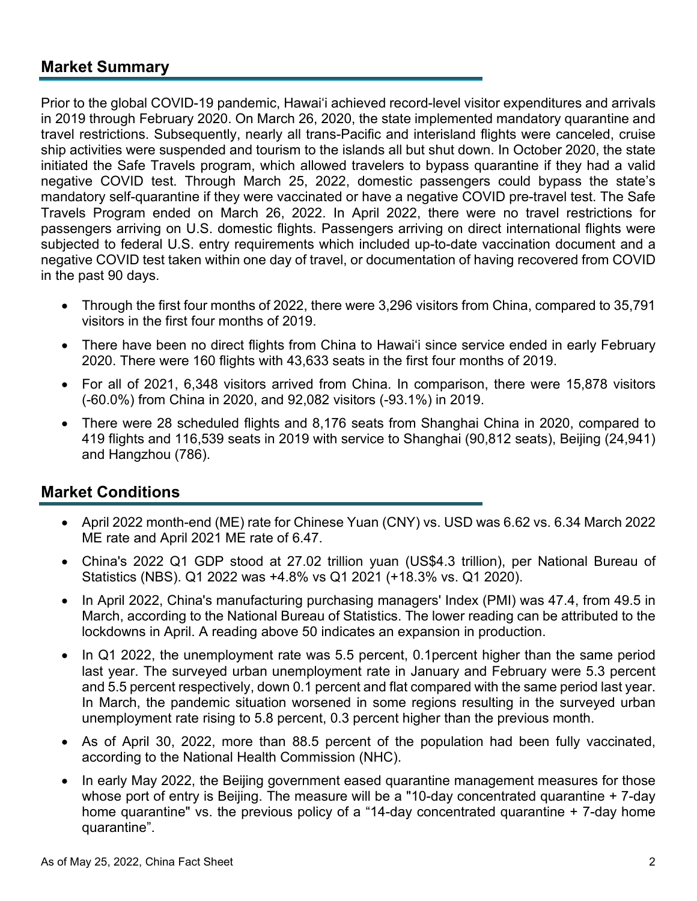#### **Market Summary**

Prior to the global COVID-19 pandemic, Hawai'i achieved record-level visitor expenditures and arrivals in 2019 through February 2020. On March 26, 2020, the state implemented mandatory quarantine and travel restrictions. Subsequently, nearly all trans-Pacific and interisland flights were canceled, cruise ship activities were suspended and tourism to the islands all but shut down. In October 2020, the state initiated the Safe Travels program, which allowed travelers to bypass quarantine if they had a valid negative COVID test. Through March 25, 2022, domestic passengers could bypass the state's mandatory self-quarantine if they were vaccinated or have a negative COVID pre-travel test. The Safe Travels Program ended on March 26, 2022. In April 2022, there were no travel restrictions for passengers arriving on U.S. domestic flights. Passengers arriving on direct international flights were subjected to federal U.S. entry requirements which included up-to-date vaccination document and a negative COVID test taken within one day of travel, or documentation of having recovered from COVID in the past 90 days.

- Through the first four months of 2022, there were 3,296 visitors from China, compared to 35,791 visitors in the first four months of 2019.
- There have been no direct flights from China to Hawai'i since service ended in early February 2020. There were 160 flights with 43,633 seats in the first four months of 2019.
- For all of 2021, 6,348 visitors arrived from China. In comparison, there were 15,878 visitors (-60.0%) from China in 2020, and 92,082 visitors (-93.1%) in 2019.
- There were 28 scheduled flights and 8,176 seats from Shanghai China in 2020, compared to 419 flights and 116,539 seats in 2019 with service to Shanghai (90,812 seats), Beijing (24,941) and Hangzhou (786).

#### **Market Conditions**

- April 2022 month-end (ME) rate for Chinese Yuan (CNY) vs. USD was 6.62 vs. 6.34 March 2022 ME rate and April 2021 ME rate of 6.47.
- China's 2022 Q1 GDP stood at 27.02 trillion yuan (US\$4.3 trillion), per National Bureau of Statistics (NBS). Q1 2022 was +4.8% vs Q1 2021 (+18.3% vs. Q1 2020).
- In April 2022, China's manufacturing purchasing managers' Index (PMI) was 47.4, from 49.5 in March, according to the National Bureau of Statistics. The lower reading can be attributed to the lockdowns in April. A reading above 50 indicates an expansion in production.
- In Q1 2022, the unemployment rate was 5.5 percent, 0.1percent higher than the same period last year. The surveyed urban unemployment rate in January and February were 5.3 percent and 5.5 percent respectively, down 0.1 percent and flat compared with the same period last year. In March, the pandemic situation worsened in some regions resulting in the surveyed urban unemployment rate rising to 5.8 percent, 0.3 percent higher than the previous month.
- As of April 30, 2022, more than 88.5 percent of the population had been fully vaccinated, according to the National Health Commission (NHC).
- In early May 2022, the Beijing government eased quarantine management measures for those whose port of entry is Beijing. The measure will be a "10-day concentrated quarantine + 7-day home quarantine" vs. the previous policy of a "14-day concentrated quarantine + 7-day home quarantine".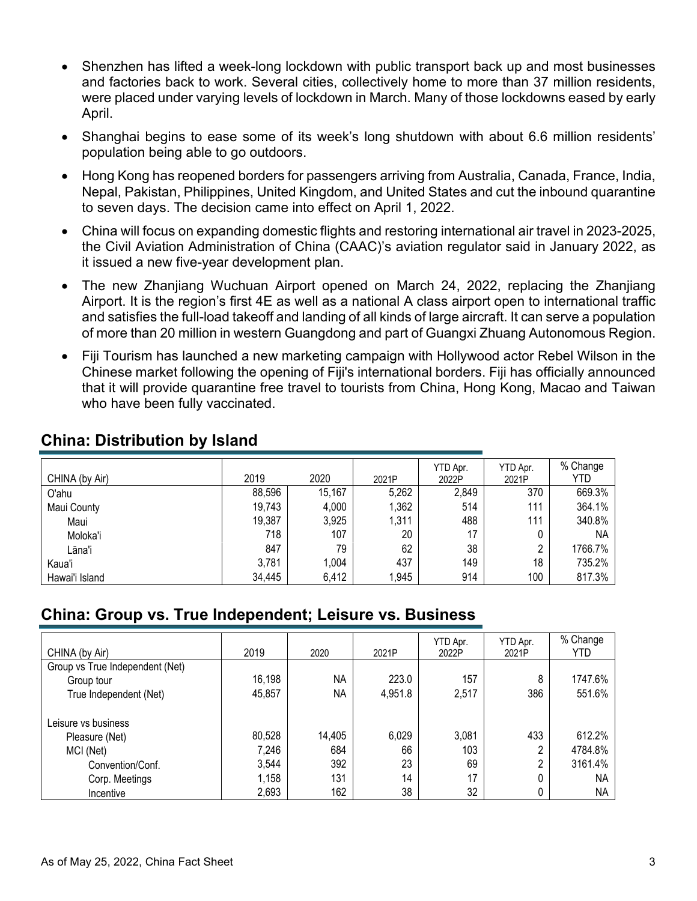- Shenzhen has lifted a week-long lockdown with public transport back up and most businesses and factories back to work. Several cities, collectively home to more than 37 million residents, were placed under varying levels of lockdown in March. Many of those lockdowns eased by early April.
- Shanghai begins to ease some of its week's long shutdown with about 6.6 million residents' population being able to go outdoors.
- Hong Kong has reopened borders for passengers arriving from Australia, Canada, France, India, Nepal, Pakistan, Philippines, United Kingdom, and United States and cut the inbound quarantine to seven days. The decision came into effect on April 1, 2022.
- China will focus on expanding domestic flights and restoring international air travel in 2023-2025, the Civil Aviation Administration of China (CAAC)'s aviation regulator said in January 2022, as it issued a new five-year development plan.
- The new Zhanjiang Wuchuan Airport opened on March 24, 2022, replacing the Zhanjiang Airport. It is the region's first 4E as well as a national A class airport open to international traffic and satisfies the full-load takeoff and landing of all kinds of large aircraft. It can serve a population of more than 20 million in western Guangdong and part of Guangxi Zhuang Autonomous Region.
- Fiji Tourism has launched a new marketing campaign with Hollywood actor Rebel Wilson in the Chinese market following the opening of Fiji's international borders. Fiji has officially announced that it will provide quarantine free travel to tourists from China, Hong Kong, Macao and Taiwan who have been fully vaccinated.

| CHINA (by Air) | 2019   | 2020   | 2021P | YTD Apr.<br>2022P | YTD Apr.<br>2021P | % Change<br>YTD |
|----------------|--------|--------|-------|-------------------|-------------------|-----------------|
| O'ahu          | 88,596 | 15,167 | 5,262 | 2,849             | 370               | 669.3%          |
| Maui County    | 19,743 | 4,000  | 1,362 | 514               | 111               | 364.1%          |
| Maui           | 19,387 | 3,925  | 1,311 | 488               | 111               | 340.8%          |
| Moloka'i       | 718    | 107    | 20    | 17                |                   | <b>NA</b>       |
| Lāna'i         | 847    | 79     | 62    | 38                | ∩                 | 1766.7%         |
| Kaua'i         | 3,781  | 1.004  | 437   | 149               | 18                | 735.2%          |
| Hawai'i Island | 34,445 | 6,412  | 1,945 | 914               | 100               | 817.3%          |

#### **China: Distribution by Island**

#### **China: Group vs. True Independent; Leisure vs. Business**

| CHINA (by Air)                  | 2019   | 2020      | 2021P   | YTD Apr.<br>2022P | YTD Apr.<br>2021P | % Change<br>YTD |
|---------------------------------|--------|-----------|---------|-------------------|-------------------|-----------------|
| Group vs True Independent (Net) |        |           |         |                   |                   |                 |
| Group tour                      | 16,198 | <b>NA</b> | 223.0   | 157               | 8                 | 1747.6%         |
| True Independent (Net)          | 45,857 | <b>NA</b> | 4,951.8 | 2,517             | 386               | 551.6%          |
| Leisure vs business             |        |           |         |                   |                   |                 |
| Pleasure (Net)                  | 80,528 | 14,405    | 6,029   | 3,081             | 433               | 612.2%          |
| MCI (Net)                       | 7,246  | 684       | 66      | 103               | n.                | 4784.8%         |
| Convention/Conf.                | 3,544  | 392       | 23      | 69                | C.                | 3161.4%         |
| Corp. Meetings                  | 1,158  | 131       | 14      | 17                |                   | NA.             |
| Incentive                       | 2,693  | 162       | 38      | 32                |                   | <b>NA</b>       |